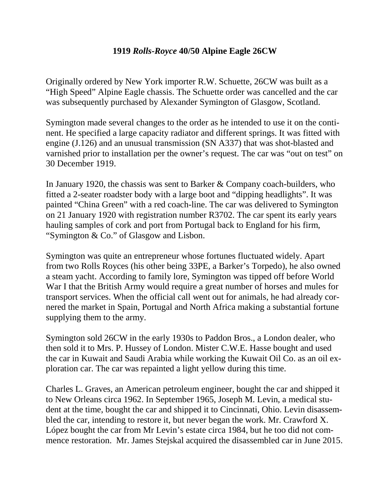## **1919** *Rolls-Royce* **40/50 Alpine Eagle 26CW**

Originally ordered by New York importer R.W. Schuette, 26CW was built as a "High Speed" Alpine Eagle chassis. The Schuette order was cancelled and the car was subsequently purchased by Alexander Symington of Glasgow, Scotland.

Symington made several changes to the order as he intended to use it on the continent. He specified a large capacity radiator and different springs. It was fitted with engine (J.126) and an unusual transmission (SN A337) that was shot-blasted and varnished prior to installation per the owner's request. The car was "out on test" on 30 December 1919.

In January 1920, the chassis was sent to Barker & Company coach-builders, who fitted a 2-seater roadster body with a large boot and "dipping headlights". It was painted "China Green" with a red coach-line. The car was delivered to Symington on 21 January 1920 with registration number R3702. The car spent its early years hauling samples of cork and port from Portugal back to England for his firm, "Symington & Co." of Glasgow and Lisbon.

Symington was quite an entrepreneur whose fortunes fluctuated widely. Apart from two Rolls Royces (his other being 33PE, a Barker's Torpedo), he also owned a steam yacht. According to family lore, Symington was tipped off before World War I that the British Army would require a great number of horses and mules for transport services. When the official call went out for animals, he had already cornered the market in Spain, Portugal and North Africa making a substantial fortune supplying them to the army.

Symington sold 26CW in the early 1930s to Paddon Bros., a London dealer, who then sold it to Mrs. P. Hussey of London. Mister C.W.E. Hasse bought and used the car in Kuwait and Saudi Arabia while working the Kuwait Oil Co. as an oil exploration car. The car was repainted a light yellow during this time.

Charles L. Graves, an American petroleum engineer, bought the car and shipped it to New Orleans circa 1962. In September 1965, Joseph M. Levin, a medical student at the time, bought the car and shipped it to Cincinnati, Ohio. Levin disassembled the car, intending to restore it, but never began the work. Mr. Crawford X. López bought the car from Mr Levin's estate circa 1984, but he too did not commence restoration. Mr. James Stejskal acquired the disassembled car in June 2015.